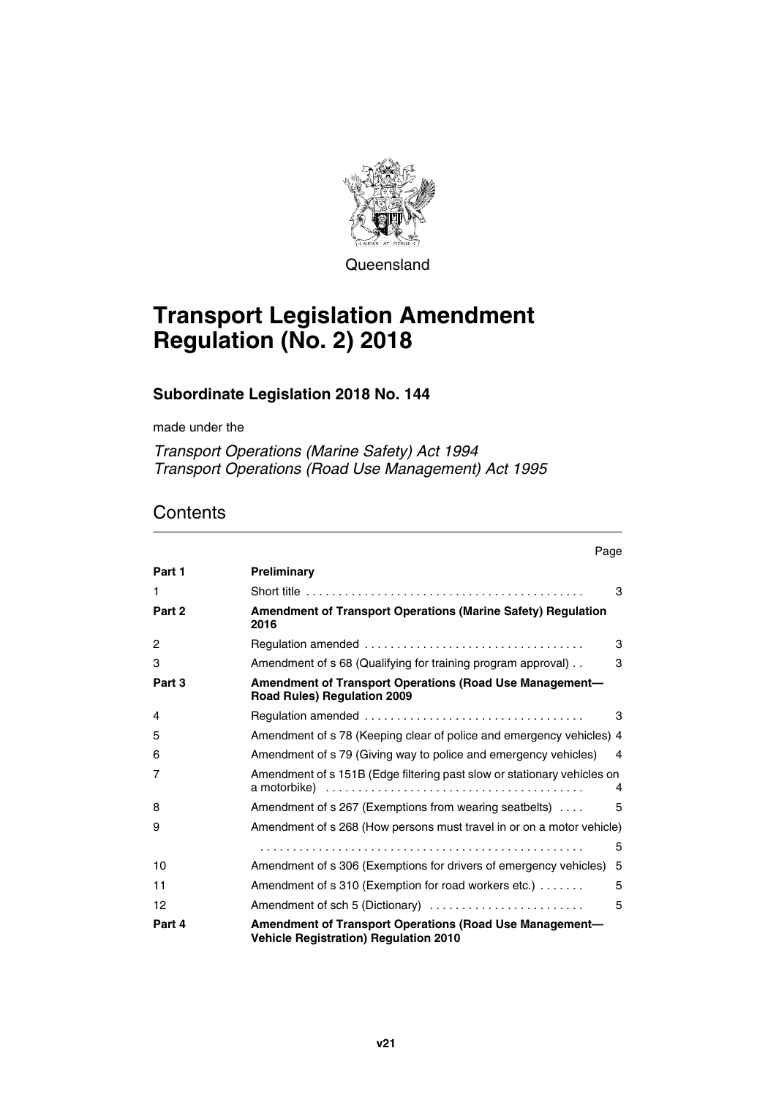

**Queensland** 

# **Transport Legislation Amendment Regulation (No. 2) 2018**

# **Subordinate Legislation 2018 No. 144**

made under the

*Transport Operations (Marine Safety) Act 1994 Transport Operations (Road Use Management) Act 1995*

# **Contents**

|        | Page                                                                                                    |
|--------|---------------------------------------------------------------------------------------------------------|
| Part 1 | Preliminary                                                                                             |
| 1      | 3                                                                                                       |
| Part 2 | <b>Amendment of Transport Operations (Marine Safety) Regulation</b><br>2016                             |
| 2      | 3                                                                                                       |
| 3      | Amendment of s 68 (Qualifying for training program approval).<br>3                                      |
| Part 3 | Amendment of Transport Operations (Road Use Management-<br><b>Road Rules) Regulation 2009</b>           |
| 4      | 3                                                                                                       |
| 5      | Amendment of s 78 (Keeping clear of police and emergency vehicles) 4                                    |
| 6      | Amendment of s 79 (Giving way to police and emergency vehicles)<br>$\overline{4}$                       |
| 7      | Amendment of s 151B (Edge filtering past slow or stationary vehicles on<br>4                            |
| 8      | Amendment of s 267 (Exemptions from wearing seatbelts)<br>5                                             |
| 9      | Amendment of s 268 (How persons must travel in or on a motor vehicle)                                   |
|        | 5                                                                                                       |
| 10     | Amendment of s 306 (Exemptions for drivers of emergency vehicles)<br>5                                  |
| 11     | Amendment of s 310 (Exemption for road workers etc.)<br>5                                               |
| 12     | Amendment of sch 5 (Dictionary)<br>5                                                                    |
| Part 4 | Amendment of Transport Operations (Road Use Management-<br><b>Vehicle Registration) Regulation 2010</b> |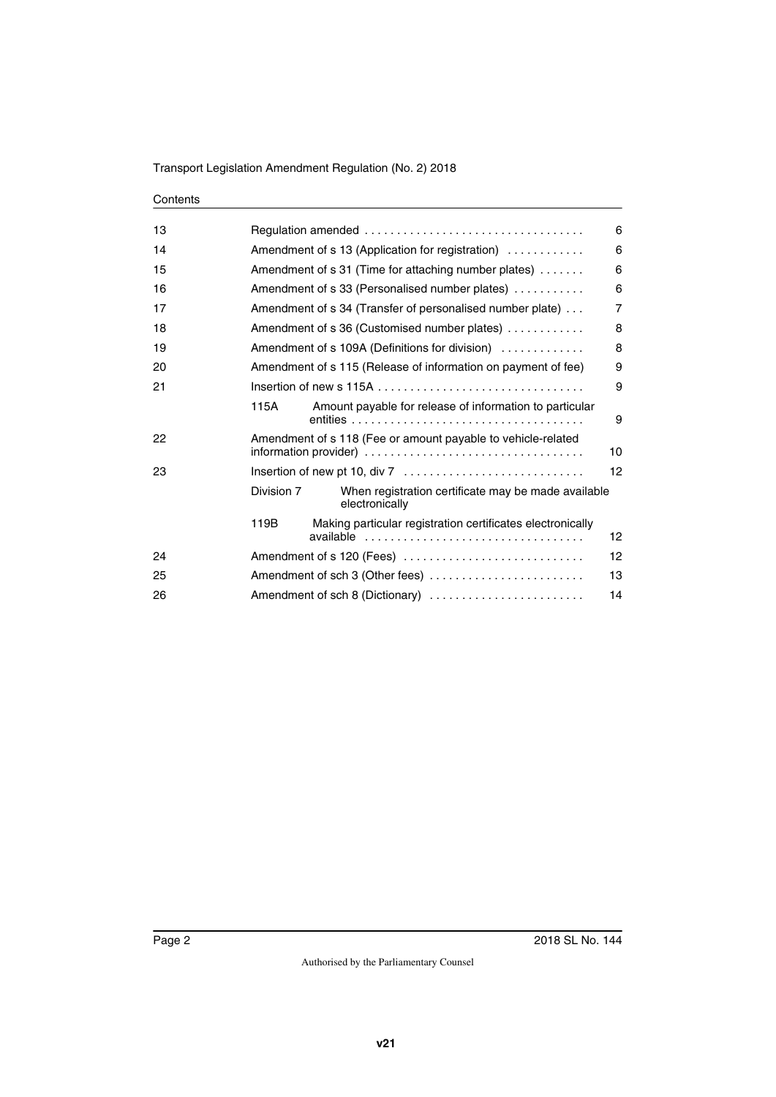#### **Contents**

|            |                                                                             | 6                                                                                                                                                                                                     |  |  |
|------------|-----------------------------------------------------------------------------|-------------------------------------------------------------------------------------------------------------------------------------------------------------------------------------------------------|--|--|
|            |                                                                             |                                                                                                                                                                                                       |  |  |
|            | Amendment of s 13 (Application for registration)<br>6                       |                                                                                                                                                                                                       |  |  |
|            | Amendment of s 31 (Time for attaching number plates)                        |                                                                                                                                                                                                       |  |  |
|            | 6<br>Amendment of s 33 (Personalised number plates)                         |                                                                                                                                                                                                       |  |  |
|            | $\overline{7}$<br>Amendment of s 34 (Transfer of personalised number plate) |                                                                                                                                                                                                       |  |  |
|            | 8<br>Amendment of s 36 (Customised number plates)                           |                                                                                                                                                                                                       |  |  |
|            | 8<br>Amendment of s 109A (Definitions for division)                         |                                                                                                                                                                                                       |  |  |
|            | Amendment of s 115 (Release of information on payment of fee)<br>9          |                                                                                                                                                                                                       |  |  |
|            |                                                                             | 9                                                                                                                                                                                                     |  |  |
| 115A       | Amount payable for release of information to particular                     | 9                                                                                                                                                                                                     |  |  |
|            | Amendment of s 118 (Fee or amount payable to vehicle-related<br>10          |                                                                                                                                                                                                       |  |  |
|            |                                                                             | 12                                                                                                                                                                                                    |  |  |
| Division 7 | When registration certificate may be made available<br>electronically       |                                                                                                                                                                                                       |  |  |
| 119B       | Making particular registration certificates electronically                  | 12 <sup>°</sup>                                                                                                                                                                                       |  |  |
|            |                                                                             | $12 \overline{ }$                                                                                                                                                                                     |  |  |
|            |                                                                             | 13                                                                                                                                                                                                    |  |  |
|            |                                                                             | 14                                                                                                                                                                                                    |  |  |
|            |                                                                             | Insertion of new s 115A $\ldots$ , $\ldots$ , $\ldots$ , $\ldots$ , $\ldots$ , $\ldots$ , $\ldots$<br>Amendment of s 120 (Fees)<br>Amendment of sch 3 (Other fees)<br>Amendment of sch 8 (Dictionary) |  |  |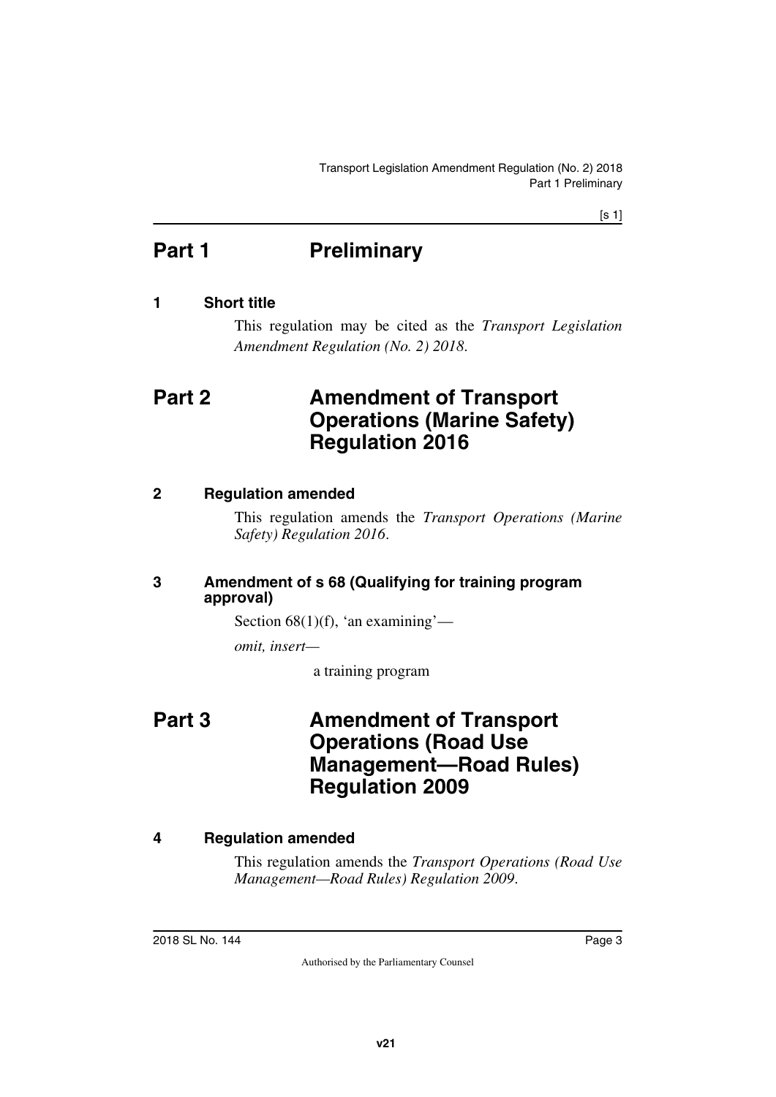[s 1]

# <span id="page-2-0"></span>**Part 1** Preliminary

# <span id="page-2-2"></span>**1 Short title**

<span id="page-2-5"></span><span id="page-2-3"></span><span id="page-2-1"></span>This regulation may be cited as the *Transport Legislation Amendment Regulation (No. 2) 2018*.

# <span id="page-2-4"></span>**Part 2 Amendment of Transport Operations (Marine Safety) Regulation 2016**

# <span id="page-2-6"></span>**2 Regulation amended**

<span id="page-2-7"></span>This regulation amends the *Transport Operations (Marine Safety) Regulation 2016*.

# <span id="page-2-9"></span><span id="page-2-8"></span>**3 Amendment of s 68 (Qualifying for training program approval)**

Section  $68(1)(f)$ , 'an examining'—

*omit, insert—*

<span id="page-2-11"></span>a training program

# <span id="page-2-10"></span>**Part 3 Amendment of Transport Operations (Road Use Management—Road Rules) Regulation 2009**

# <span id="page-2-12"></span>**4 Regulation amended**

<span id="page-2-13"></span>This regulation amends the *Transport Operations (Road Use Management—Road Rules) Regulation 2009*.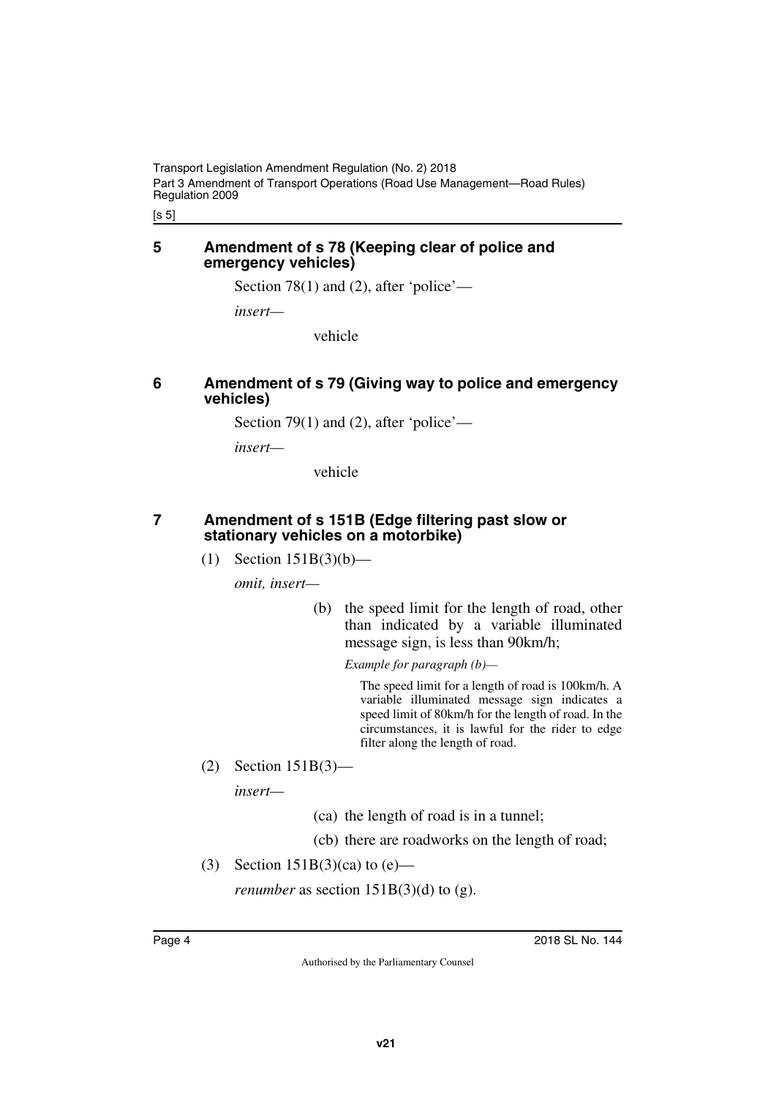[s 5]

#### <span id="page-3-1"></span><span id="page-3-0"></span>**5 Amendment of s 78 (Keeping clear of police and emergency vehicles)**

Section 78(1) and (2), after 'police'—

*insert—*

vehicle

## <span id="page-3-3"></span><span id="page-3-2"></span>**6 Amendment of s 79 (Giving way to police and emergency vehicles)**

Section 79(1) and (2), after 'police'—

*insert—*

vehicle

## <span id="page-3-4"></span>**7 Amendment of s 151B (Edge filtering past slow or stationary vehicles on a motorbike)**

<span id="page-3-5"></span>(1) Section 151B(3)(b)—

*omit, insert—*

(b) the speed limit for the length of road, other than indicated by a variable illuminated message sign, is less than 90km/h;

*Example for paragraph (b)—*

The speed limit for a length of road is 100km/h. A variable illuminated message sign indicates a speed limit of 80km/h for the length of road. In the circumstances, it is lawful for the rider to edge filter along the length of road.

(2) Section 151B(3)—

*insert—*

(ca) the length of road is in a tunnel;

(cb) there are roadworks on the length of road;

(3) Section  $151B(3)(ca)$  to  $(e)$ —

*renumber* as section  $151B(3)(d)$  to (g).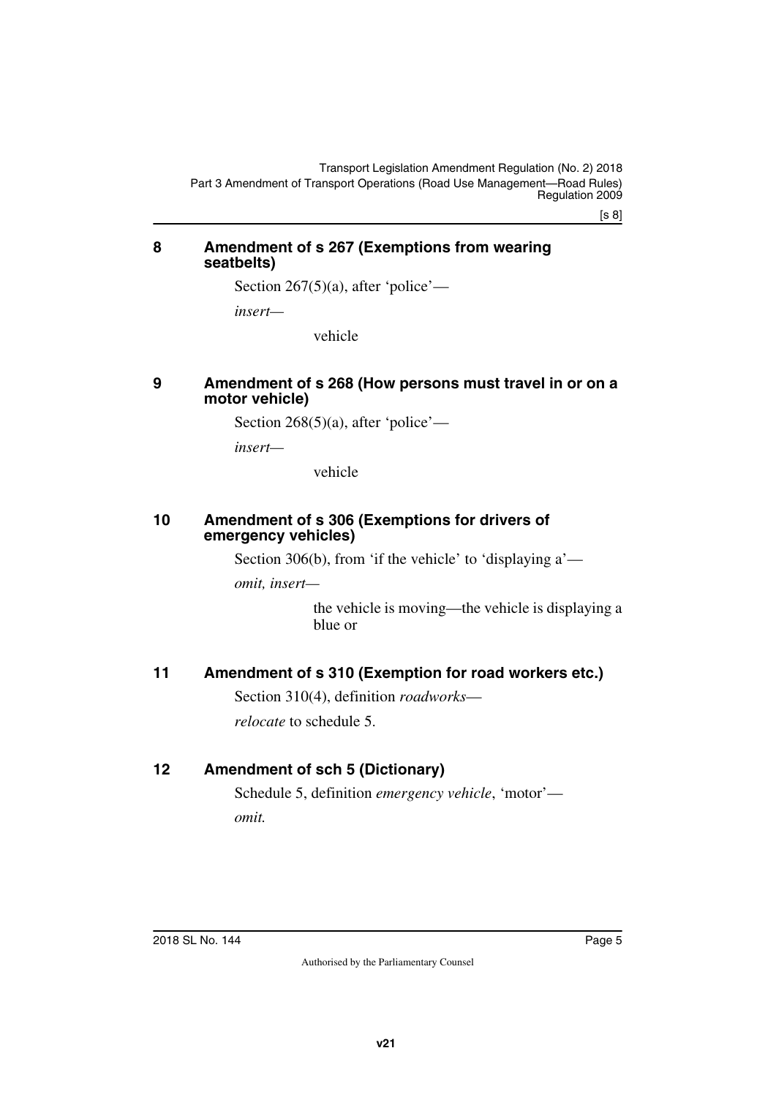[s 8]

#### <span id="page-4-1"></span><span id="page-4-0"></span>**8 Amendment of s 267 (Exemptions from wearing seatbelts)**

Section  $267(5)(a)$ , after 'police'—

*insert—*

vehicle

#### <span id="page-4-3"></span><span id="page-4-2"></span>**9 Amendment of s 268 (How persons must travel in or on a motor vehicle)**

Section 268(5)(a), after 'police'—

*insert—*

vehicle

#### <span id="page-4-5"></span><span id="page-4-4"></span>**10 Amendment of s 306 (Exemptions for drivers of emergency vehicles)**

Section 306(b), from 'if the vehicle' to 'displaying a'—

*omit, insert—*

the vehicle is moving—the vehicle is displaying a blue or

# <span id="page-4-6"></span>**11 Amendment of s 310 (Exemption for road workers etc.)**

<span id="page-4-7"></span>Section 310(4), definition *roadworks*—

<span id="page-4-9"></span>*relocate* to schedule 5.

# <span id="page-4-8"></span>**12 Amendment of sch 5 (Dictionary)**

Schedule 5, definition *emergency vehicle*, 'motor' *omit.*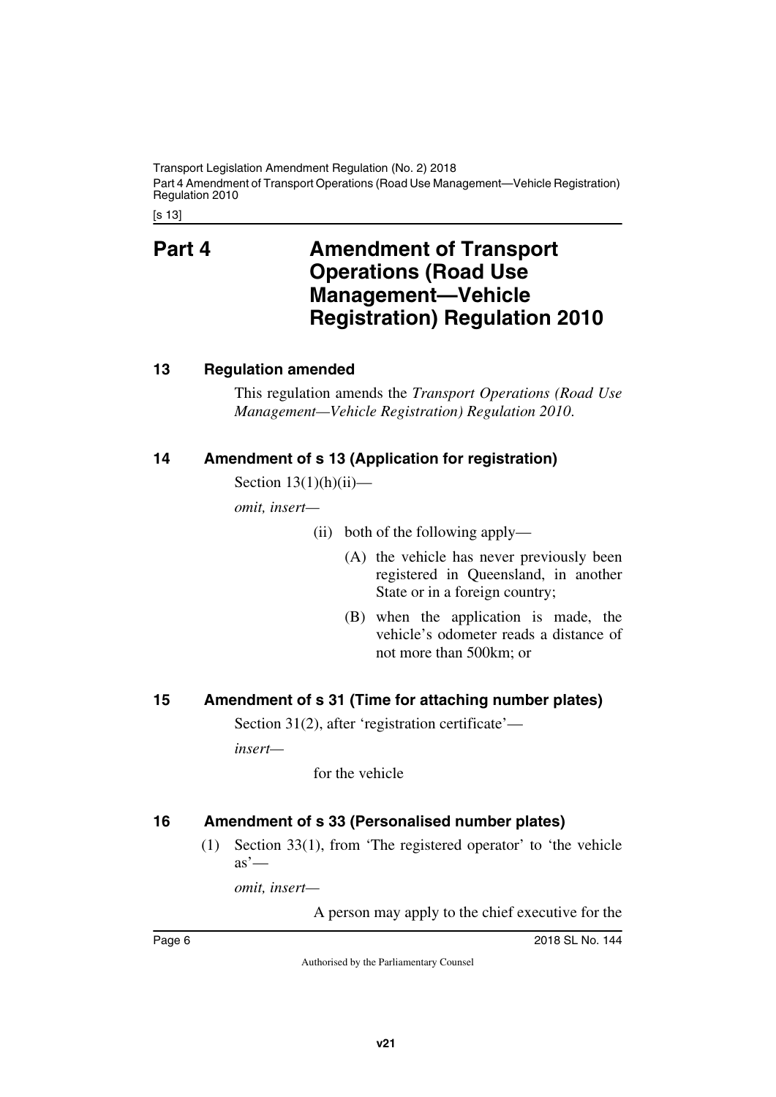Transport Legislation Amendment Regulation (No. 2) 2018 Part 4 Amendment of Transport Operations (Road Use Management—Vehicle Registration) Regulation 2010

[s 13]

# <span id="page-5-1"></span><span id="page-5-0"></span>**Part 4 Amendment of Transport Operations (Road Use Management—Vehicle Registration) Regulation 2010**

# <span id="page-5-2"></span>**13 Regulation amended**

<span id="page-5-3"></span>This regulation amends the *Transport Operations (Road Use Management—Vehicle Registration) Regulation 2010*.

# <span id="page-5-4"></span>**14 Amendment of s 13 (Application for registration)**

<span id="page-5-5"></span>Section  $13(1)(h)(ii)$ —

*omit, insert—*

- (ii) both of the following apply—
	- (A) the vehicle has never previously been registered in Queensland, in another State or in a foreign country;
	- (B) when the application is made, the vehicle's odometer reads a distance of not more than 500km; or

# <span id="page-5-6"></span>**15 Amendment of s 31 (Time for attaching number plates)**

<span id="page-5-7"></span>Section 31(2), after 'registration certificate'—

*insert—*

for the vehicle

# <span id="page-5-8"></span>**16 Amendment of s 33 (Personalised number plates)**

<span id="page-5-9"></span>(1) Section 33(1), from 'The registered operator' to 'the vehicle  $as'$ —

*omit, insert—*

A person may apply to the chief executive for the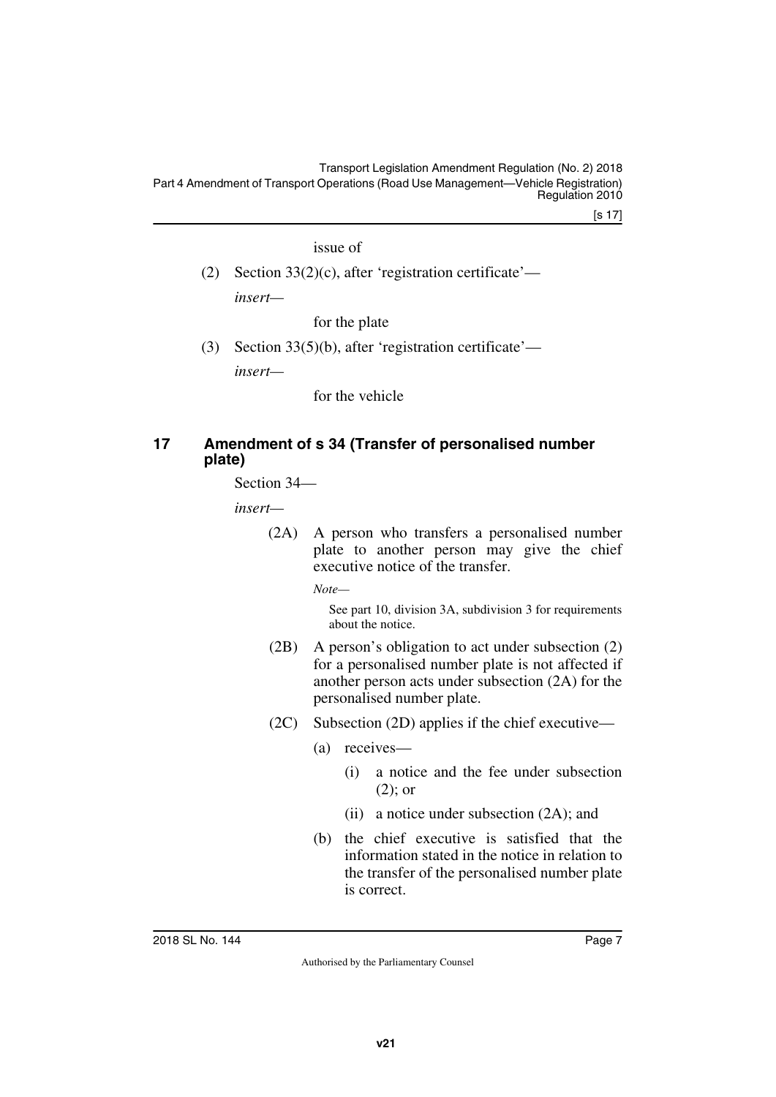Transport Legislation Amendment Regulation (No. 2) 2018 Part 4 Amendment of Transport Operations (Road Use Management—Vehicle Registration) Regulation 2010

[s 17]

issue of

(2) Section 33(2)(c), after 'registration certificate' *insert—*

for the plate

(3) Section 33(5)(b), after 'registration certificate' *insert—*

for the vehicle

# <span id="page-6-1"></span><span id="page-6-0"></span>**17 Amendment of s 34 (Transfer of personalised number plate)**

Section 34—

*insert—*

(2A) A person who transfers a personalised number plate to another person may give the chief executive notice of the transfer.

*Note—*

See part 10, division 3A, subdivision 3 for requirements about the notice.

- (2B) A person's obligation to act under subsection (2) for a personalised number plate is not affected if another person acts under subsection (2A) for the personalised number plate.
- (2C) Subsection (2D) applies if the chief executive—
	- (a) receives—
		- (i) a notice and the fee under subsection (2); or
		- (ii) a notice under subsection (2A); and
	- (b) the chief executive is satisfied that the information stated in the notice in relation to the transfer of the personalised number plate is correct.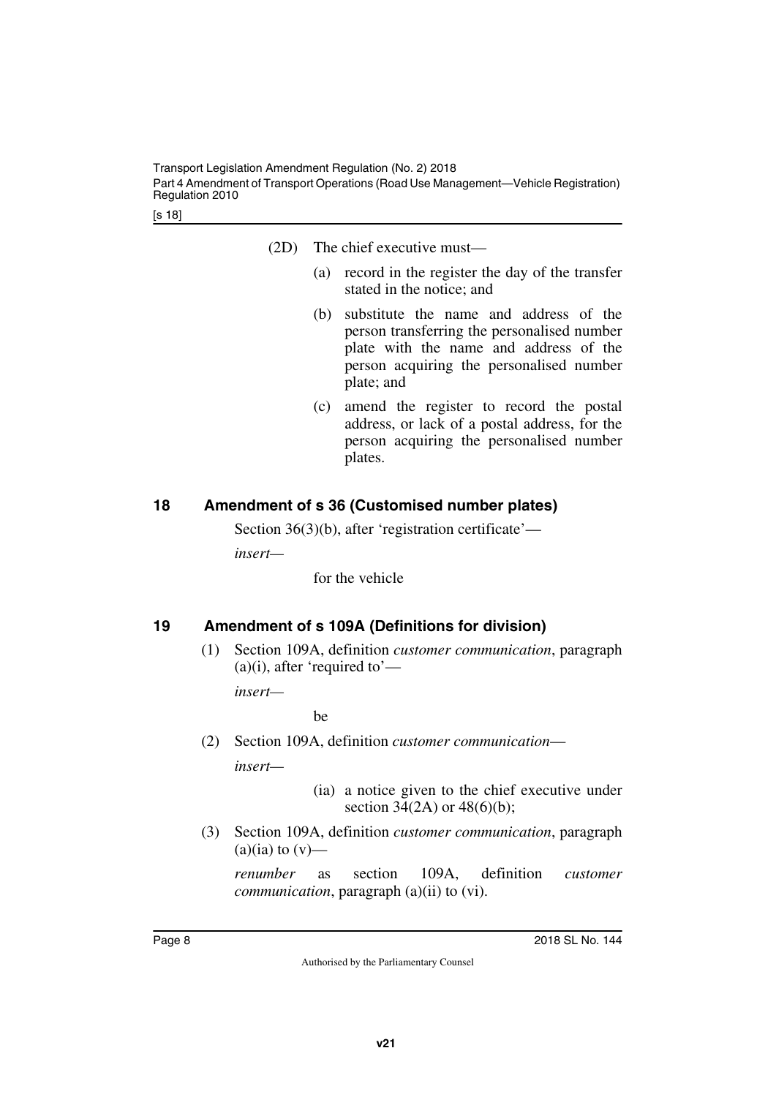- (2D) The chief executive must—
	- (a) record in the register the day of the transfer stated in the notice; and
	- (b) substitute the name and address of the person transferring the personalised number plate with the name and address of the person acquiring the personalised number plate; and
	- (c) amend the register to record the postal address, or lack of a postal address, for the person acquiring the personalised number plates.

# <span id="page-7-0"></span>**18 Amendment of s 36 (Customised number plates)**

<span id="page-7-1"></span>Section 36(3)(b), after 'registration certificate'—

*insert—*

for the vehicle

# <span id="page-7-2"></span>**19 Amendment of s 109A (Definitions for division)**

<span id="page-7-3"></span>(1) Section 109A, definition *customer communication*, paragraph  $(a)(i)$ , after 'required to'—

*insert—*

be

(2) Section 109A, definition *customer communication*—

*insert—*

- (ia) a notice given to the chief executive under section 34(2A) or  $48(6)(b)$ ;
- (3) Section 109A, definition *customer communication*, paragraph  $(a)(ia)$  to  $(v)$ —

*renumber* as section 109A, definition *customer communication*, paragraph (a)(ii) to (vi).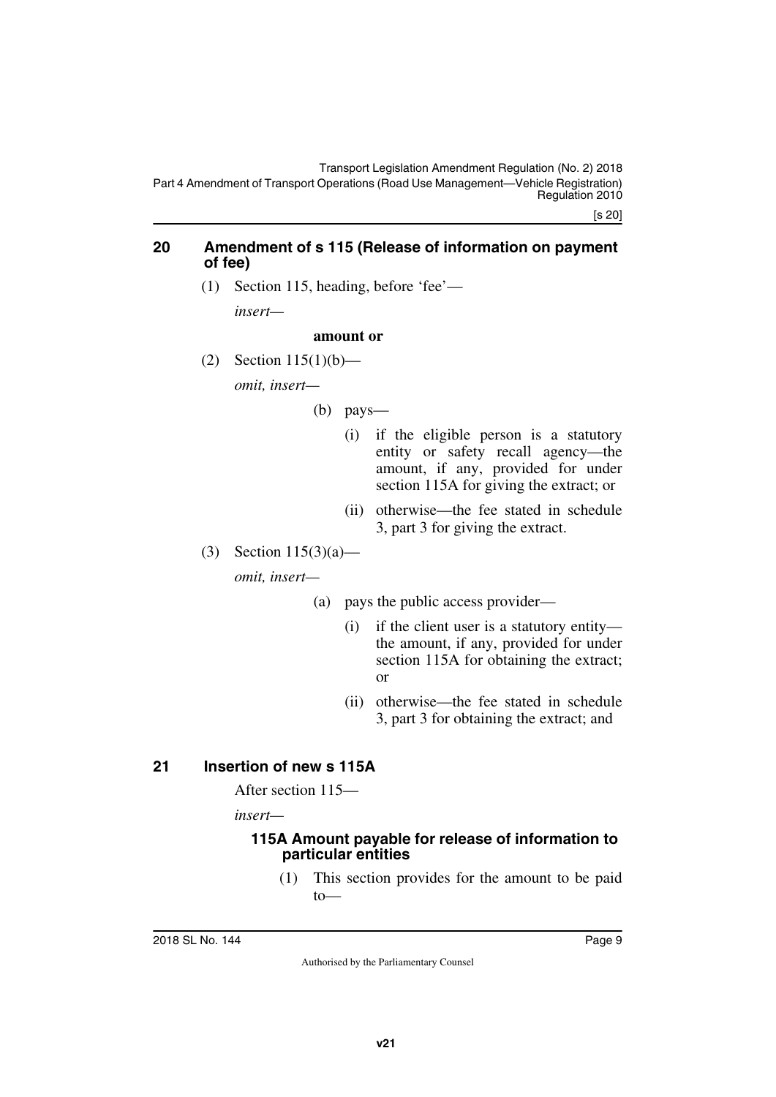#### <span id="page-8-0"></span>**20 Amendment of s 115 (Release of information on payment of fee)**

<span id="page-8-1"></span>(1) Section 115, heading, before 'fee'—

*insert—*

#### **amount or**

(2) Section  $115(1)(b)$ —

*omit, insert—*

- (b) pays—
	- (i) if the eligible person is a statutory entity or safety recall agency—the amount, if any, provided for under section 115A for giving the extract; or
	- (ii) otherwise—the fee stated in schedule 3, part 3 for giving the extract.

(3) Section 115(3)(a) *omit, insert—*

- (a) pays the public access provider—
	- (i) if the client user is a statutory entity the amount, if any, provided for under section 115A for obtaining the extract; or
	- (ii) otherwise—the fee stated in schedule 3, part 3 for obtaining the extract; and

# <span id="page-8-2"></span>**21 Insertion of new s 115A**

<span id="page-8-3"></span>After section 115—

*insert—*

## <span id="page-8-5"></span><span id="page-8-4"></span>**115A Amount payable for release of information to particular entities**

(1) This section provides for the amount to be paid to—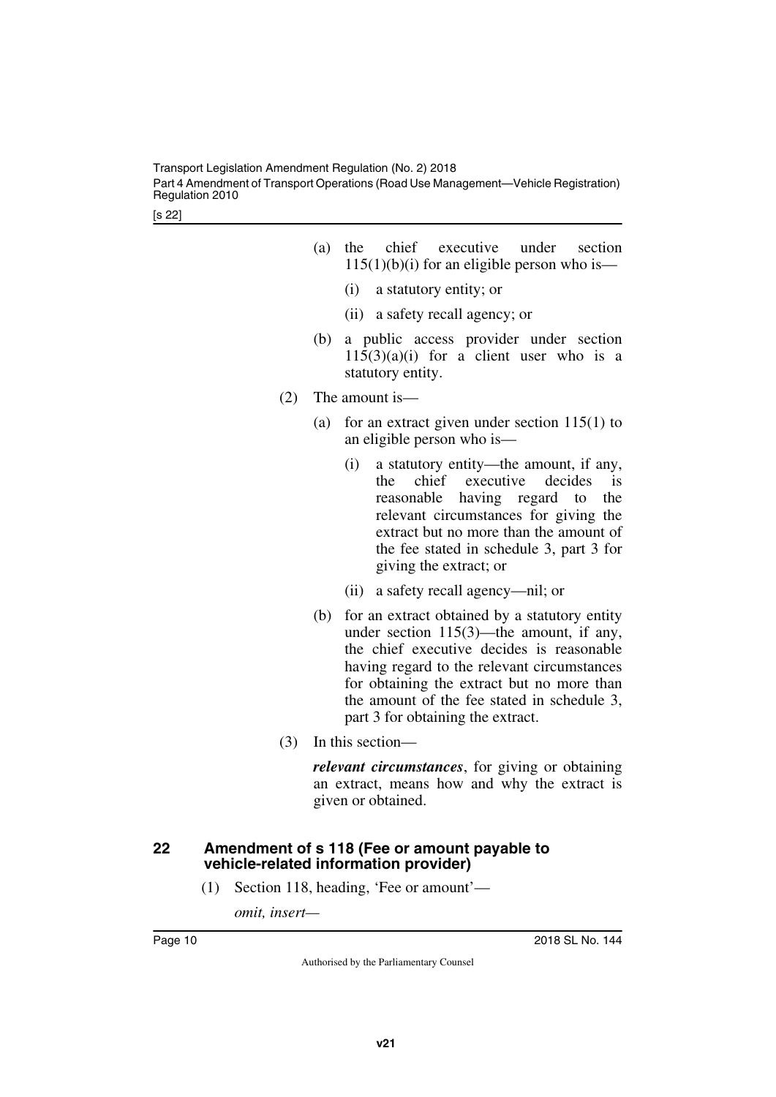- (a) the chief executive under section  $115(1)(b)(i)$  for an eligible person who is—
	- (i) a statutory entity; or
	- (ii) a safety recall agency; or
- (b) a public access provider under section  $115(3)(a)(i)$  for a client user who is a statutory entity.
- (2) The amount is—
	- (a) for an extract given under section  $115(1)$  to an eligible person who is—
		- (i) a statutory entity—the amount, if any, the chief executive decides is reasonable having regard to the relevant circumstances for giving the extract but no more than the amount of the fee stated in schedule 3, part 3 for giving the extract; or
		- (ii) a safety recall agency—nil; or
	- (b) for an extract obtained by a statutory entity under section 115(3)—the amount, if any, the chief executive decides is reasonable having regard to the relevant circumstances for obtaining the extract but no more than the amount of the fee stated in schedule 3, part 3 for obtaining the extract.
- (3) In this section—

*relevant circumstances*, for giving or obtaining an extract, means how and why the extract is given or obtained.

## <span id="page-9-1"></span><span id="page-9-0"></span>**22 Amendment of s 118 (Fee or amount payable to vehicle-related information provider)**

(1) Section 118, heading, 'Fee or amount'—

*omit, insert—*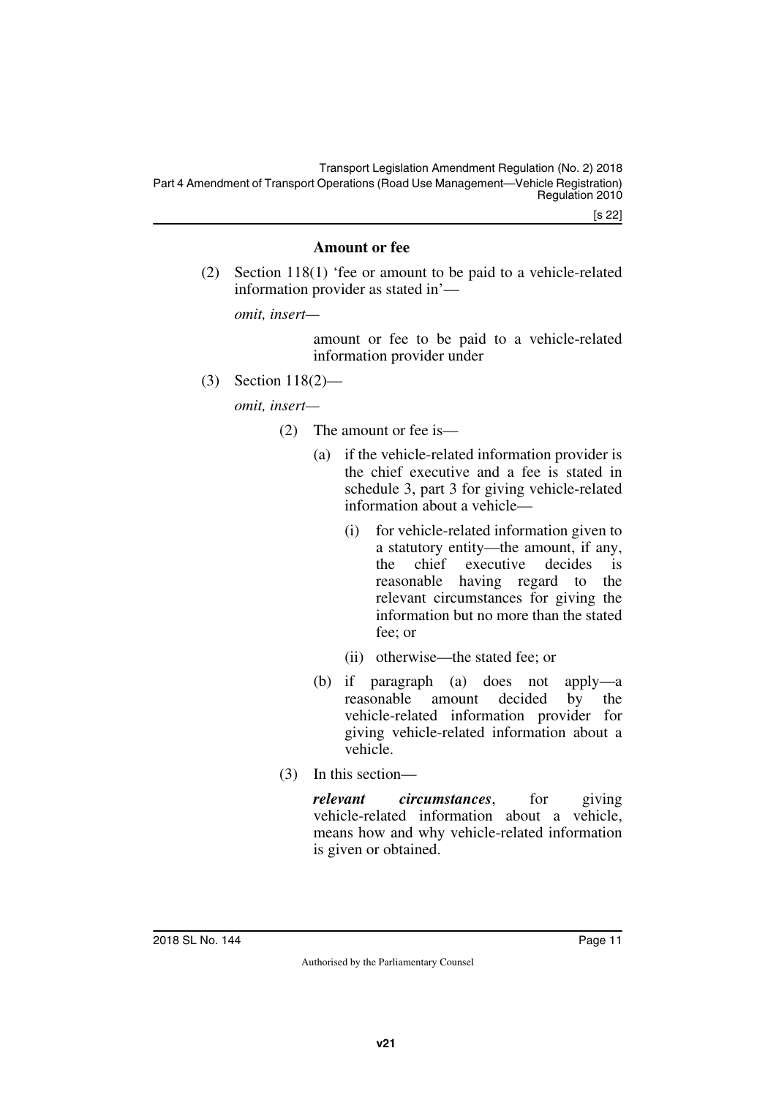[s 22]

## **Amount or fee**

(2) Section 118(1) 'fee or amount to be paid to a vehicle-related information provider as stated in'—

*omit, insert—*

amount or fee to be paid to a vehicle-related information provider under

(3) Section 118(2)—

*omit, insert—*

- (2) The amount or fee is—
	- (a) if the vehicle-related information provider is the chief executive and a fee is stated in schedule 3, part 3 for giving vehicle-related information about a vehicle—
		- (i) for vehicle-related information given to a statutory entity—the amount, if any, the chief executive decides is reasonable having regard to the relevant circumstances for giving the information but no more than the stated fee; or
		- (ii) otherwise—the stated fee; or
	- (b) if paragraph (a) does not apply—a reasonable amount decided by the vehicle-related information provider for giving vehicle-related information about a vehicle.
- (3) In this section—

*relevant circumstances*, for giving vehicle-related information about a vehicle, means how and why vehicle-related information is given or obtained.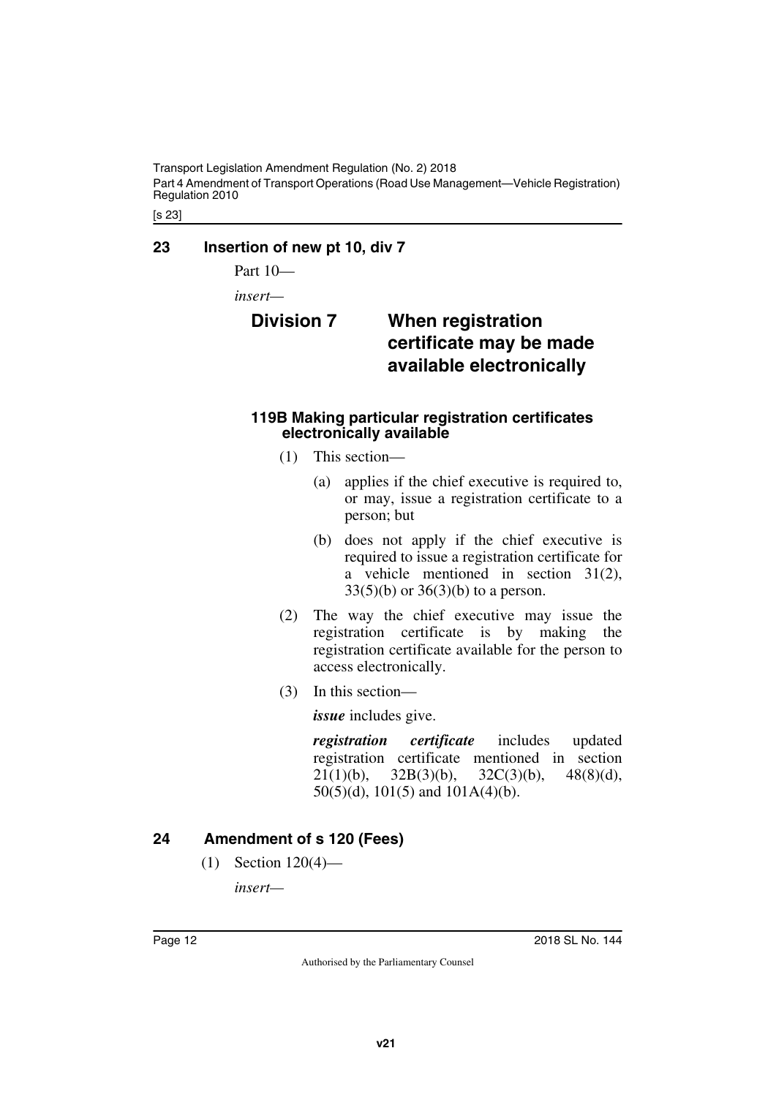Transport Legislation Amendment Regulation (No. 2) 2018 Part 4 Amendment of Transport Operations (Road Use Management—Vehicle Registration) Regulation 2010

[s 23]

## <span id="page-11-0"></span>**23 Insertion of new pt 10, div 7**

<span id="page-11-1"></span>Part 10—

*insert—*

# <span id="page-11-3"></span><span id="page-11-2"></span>**Division 7 When registration certificate may be made available electronically**

#### <span id="page-11-5"></span><span id="page-11-4"></span>**119B Making particular registration certificates electronically available**

- (1) This section—
	- (a) applies if the chief executive is required to, or may, issue a registration certificate to a person; but
	- (b) does not apply if the chief executive is required to issue a registration certificate for a vehicle mentioned in section 31(2),  $33(5)(b)$  or  $36(3)(b)$  to a person.
- (2) The way the chief executive may issue the registration certificate is by making the registration certificate available for the person to access electronically.
- (3) In this section—

*issue* includes give.

*registration certificate* includes updated registration certificate mentioned in section 21(1)(b), 32B(3)(b), 32C(3)(b), 48(8)(d), 50(5)(d), 101(5) and 101A(4)(b).

# <span id="page-11-6"></span>**24 Amendment of s 120 (Fees)**

<span id="page-11-7"></span>(1) Section 120(4)—

*insert—*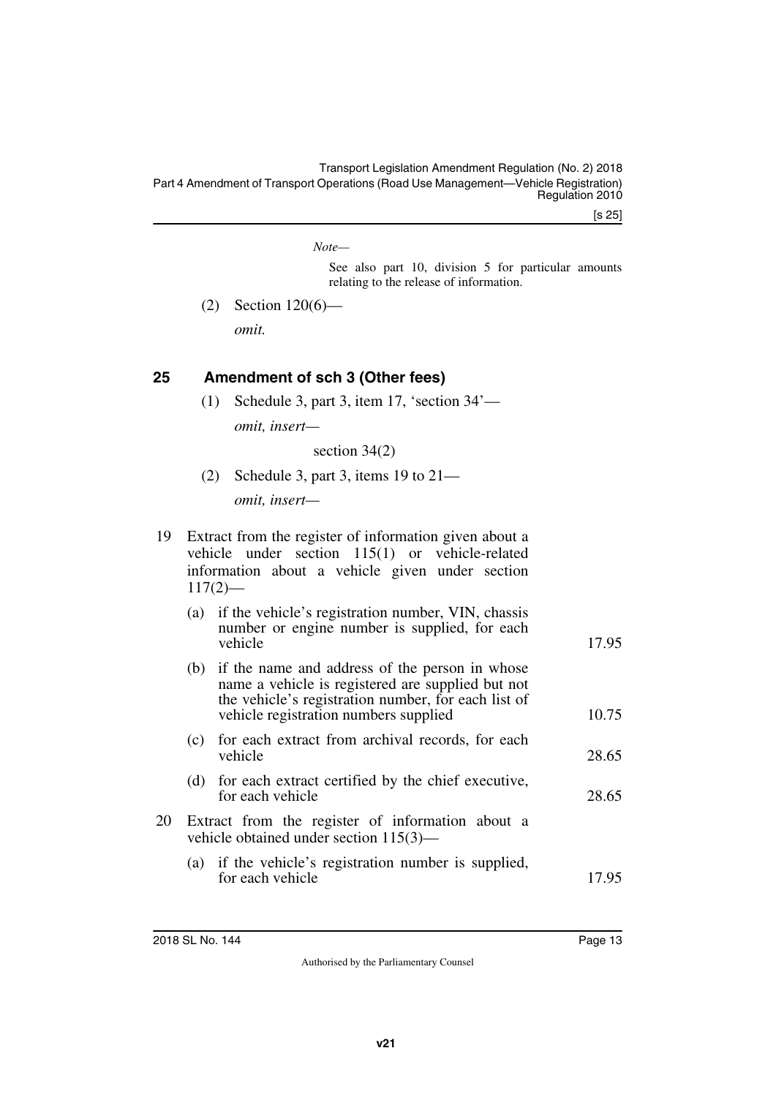[s 25]

*Note—*

See also part 10, division 5 for particular amounts relating to the release of information.

(2) Section 120(6)—

*omit.*

# <span id="page-12-0"></span>**25 Amendment of sch 3 (Other fees)**

<span id="page-12-1"></span>(1) Schedule 3, part 3, item 17, 'section 34' *omit, insert—*

section 34(2)

(2) Schedule 3, part 3, items 19 to 21 *omit, insert—*

| 19 Extract from the register of information given about a |  |  |  |  |  |
|-----------------------------------------------------------|--|--|--|--|--|
| vehicle under section 115(1) or vehicle-related           |  |  |  |  |  |
| information about a vehicle given under section           |  |  |  |  |  |
| $117(2)$ —                                                |  |  |  |  |  |

|     | (a) if the vehicle's registration number, VIN, chassis<br>number or engine number is supplied, for each<br>vehicle                                                                                  | 17.95 |
|-----|-----------------------------------------------------------------------------------------------------------------------------------------------------------------------------------------------------|-------|
| (b) | if the name and address of the person in whose<br>name a vehicle is registered are supplied but not<br>the vehicle's registration number, for each list of<br>vehicle registration numbers supplied | 10.75 |
| (c) | for each extract from archival records, for each<br>vehicle                                                                                                                                         | 28.65 |
|     | (d) for each extract certified by the chief executive,<br>for each vehicle                                                                                                                          | 28.65 |
|     | Extract from the register of information shout a                                                                                                                                                    |       |

- 20 Extract from the register of information about a vehicle obtained under section 115(3)—
	- (a) if the vehicle's registration number is supplied, for each vehicle 17.95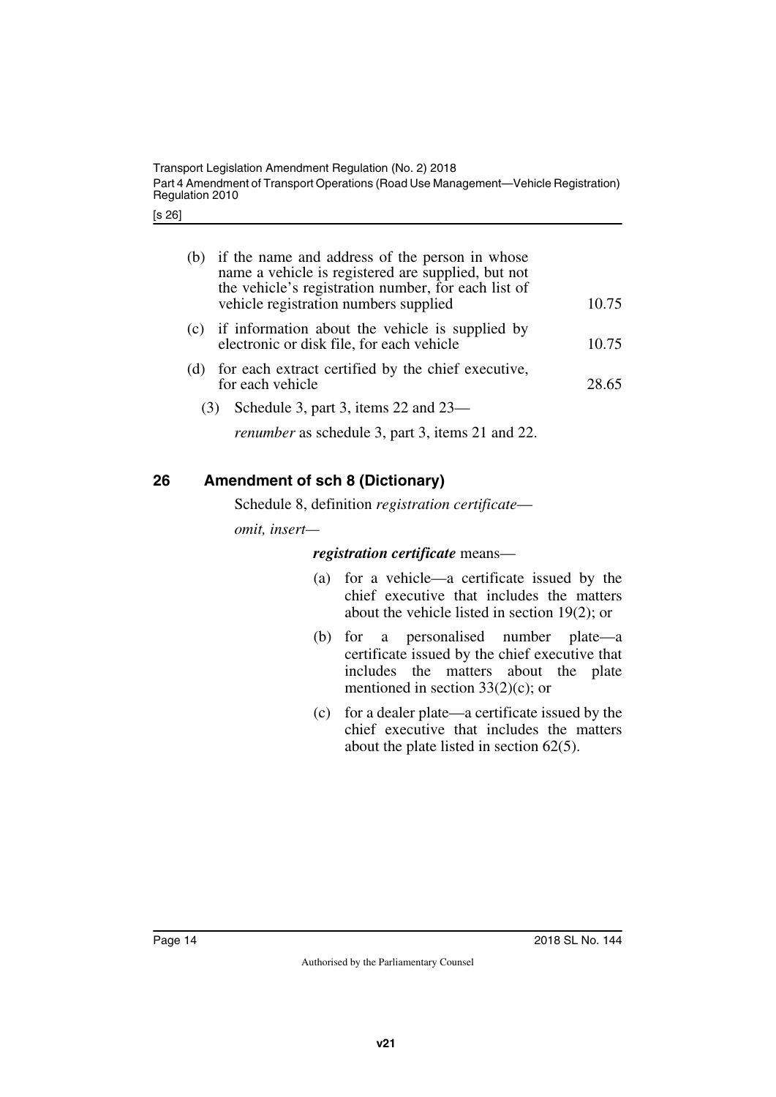[s 26]

| (b) | if the name and address of the person in whose<br>name a vehicle is registered are supplied, but not<br>the vehicle's registration number, for each list of<br>vehicle registration numbers supplied | 10.75 |
|-----|------------------------------------------------------------------------------------------------------------------------------------------------------------------------------------------------------|-------|
| (c) | if information about the vehicle is supplied by<br>electronic or disk file, for each vehicle                                                                                                         | 10.75 |
| (d) | for each extract certified by the chief executive,<br>for each vehicle                                                                                                                               | 28.65 |
| (3) | Schedule 3, part 3, items $22$ and $23-$                                                                                                                                                             |       |
|     | <i>renumber</i> as schedule 3, part 3, items 21 and 22.                                                                                                                                              |       |

# <span id="page-13-0"></span>**26 Amendment of sch 8 (Dictionary)**

<span id="page-13-1"></span>Schedule 8, definition *registration certificate*—

*omit, insert—*

*registration certificate* means—

- (a) for a vehicle—a certificate issued by the chief executive that includes the matters about the vehicle listed in section 19(2); or
- (b) for a personalised number plate—a certificate issued by the chief executive that includes the matters about the plate mentioned in section 33(2)(c); or
- (c) for a dealer plate—a certificate issued by the chief executive that includes the matters about the plate listed in section 62(5).